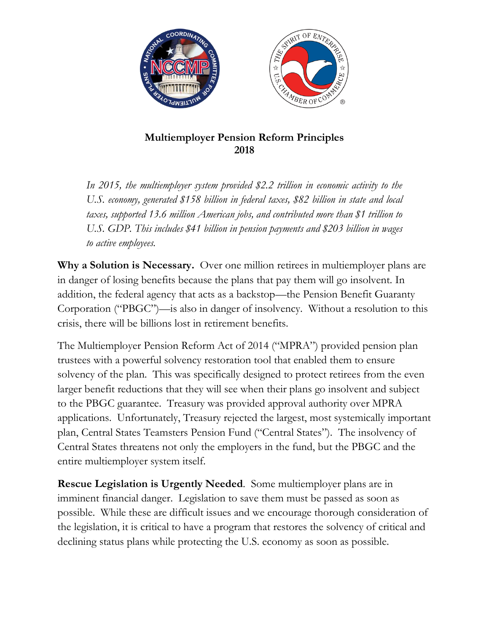

## **Multiemployer Pension Reform Principles 2018**

*In 2015, the multiemployer system provided \$2.2 trillion in economic activity to the U.S. economy, generated \$158 billion in federal taxes, \$82 billion in state and local taxes, supported 13.6 million American jobs, and contributed more than \$1 trillion to U.S. GDP. This includes \$41 billion in pension payments and \$203 billion in wages to active employees.* 

**Why a Solution is Necessary.** Over one million retirees in multiemployer plans are in danger of losing benefits because the plans that pay them will go insolvent. In addition, the federal agency that acts as a backstop—the Pension Benefit Guaranty Corporation ("PBGC")—is also in danger of insolvency. Without a resolution to this crisis, there will be billions lost in retirement benefits.

The Multiemployer Pension Reform Act of 2014 ("MPRA") provided pension plan trustees with a powerful solvency restoration tool that enabled them to ensure solvency of the plan. This was specifically designed to protect retirees from the even larger benefit reductions that they will see when their plans go insolvent and subject to the PBGC guarantee. Treasury was provided approval authority over MPRA applications. Unfortunately, Treasury rejected the largest, most systemically important plan, Central States Teamsters Pension Fund ("Central States"). The insolvency of Central States threatens not only the employers in the fund, but the PBGC and the entire multiemployer system itself.

**Rescue Legislation is Urgently Needed**. Some multiemployer plans are in imminent financial danger. Legislation to save them must be passed as soon as possible. While these are difficult issues and we encourage thorough consideration of the legislation, it is critical to have a program that restores the solvency of critical and declining status plans while protecting the U.S. economy as soon as possible.